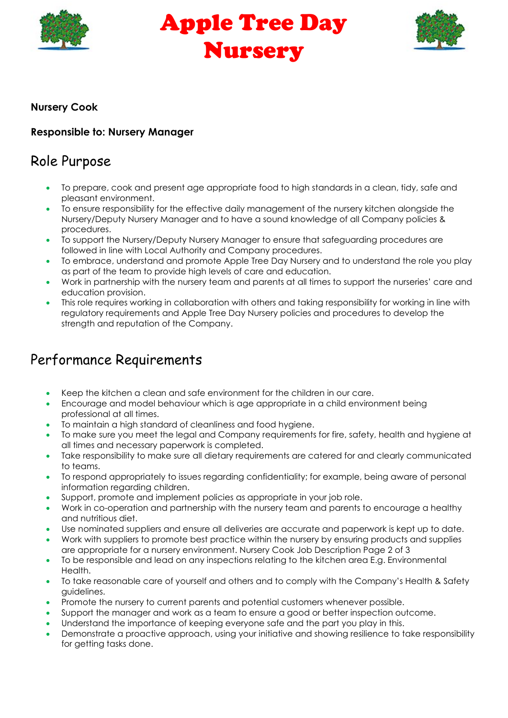

Apple Tree Day Nursery



#### Nursery Cook

#### Responsible to: Nursery Manager

### Role Purpose

- To prepare, cook and present age appropriate food to high standards in a clean, tidy, safe and pleasant environment.
- To ensure responsibility for the effective daily management of the nursery kitchen alongside the Nursery/Deputy Nursery Manager and to have a sound knowledge of all Company policies & procedures.
- To support the Nursery/Deputy Nursery Manager to ensure that safeguarding procedures are followed in line with Local Authority and Company procedures.
- To embrace, understand and promote Apple Tree Day Nursery and to understand the role you play as part of the team to provide high levels of care and education.
- Work in partnership with the nursery team and parents at all times to support the nurseries' care and education provision.
- This role requires working in collaboration with others and taking responsibility for working in line with regulatory requirements and Apple Tree Day Nursery policies and procedures to develop the strength and reputation of the Company.

# Performance Requirements

- Keep the kitchen a clean and safe environment for the children in our care.
- Encourage and model behaviour which is age appropriate in a child environment being professional at all times.
- To maintain a high standard of cleanliness and food hygiene.
- To make sure you meet the legal and Company requirements for fire, safety, health and hygiene at all times and necessary paperwork is completed.
- Take responsibility to make sure all dietary requirements are catered for and clearly communicated to teams.
- To respond appropriately to issues regarding confidentiality; for example, being aware of personal information regarding children.
- Support, promote and implement policies as appropriate in your job role.
- Work in co-operation and partnership with the nursery team and parents to encourage a healthy and nutritious diet.
- Use nominated suppliers and ensure all deliveries are accurate and paperwork is kept up to date.
- Work with suppliers to promote best practice within the nursery by ensuring products and supplies are appropriate for a nursery environment. Nursery Cook Job Description Page 2 of 3
- To be responsible and lead on any inspections relating to the kitchen area E.g. Environmental Health.
- To take reasonable care of yourself and others and to comply with the Company's Health & Safety guidelines.
- Promote the nursery to current parents and potential customers whenever possible.
- Support the manager and work as a team to ensure a good or better inspection outcome.
- Understand the importance of keeping everyone safe and the part you play in this.
- Demonstrate a proactive approach, using your initiative and showing resilience to take responsibility for getting tasks done.